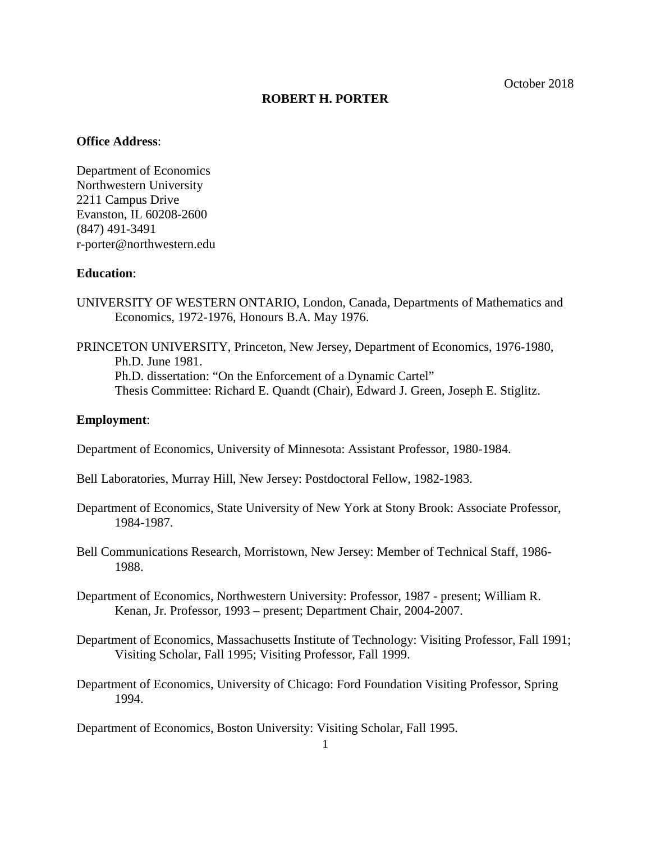## **ROBERT H. PORTER**

#### **Office Address**:

Department of Economics Northwestern University 2211 Campus Drive Evanston, IL 60208-2600 (847) 491-3491 r-porter@northwestern.edu

### **Education**:

- UNIVERSITY OF WESTERN ONTARIO, London, Canada, Departments of Mathematics and Economics, 1972-1976, Honours B.A. May 1976.
- PRINCETON UNIVERSITY, Princeton, New Jersey, Department of Economics, 1976-1980, Ph.D. June 1981. Ph.D. dissertation: "On the Enforcement of a Dynamic Cartel" Thesis Committee: Richard E. Quandt (Chair), Edward J. Green, Joseph E. Stiglitz.

## **Employment**:

Department of Economics, University of Minnesota: Assistant Professor, 1980-1984.

- Bell Laboratories, Murray Hill, New Jersey: Postdoctoral Fellow, 1982-1983.
- Department of Economics, State University of New York at Stony Brook: Associate Professor, 1984-1987.
- Bell Communications Research, Morristown, New Jersey: Member of Technical Staff, 1986- 1988.
- Department of Economics, Northwestern University: Professor, 1987 present; William R. Kenan, Jr. Professor, 1993 – present; Department Chair, 2004-2007.
- Department of Economics, Massachusetts Institute of Technology: Visiting Professor, Fall 1991; Visiting Scholar, Fall 1995; Visiting Professor, Fall 1999.
- Department of Economics, University of Chicago: Ford Foundation Visiting Professor, Spring 1994.

Department of Economics, Boston University: Visiting Scholar, Fall 1995.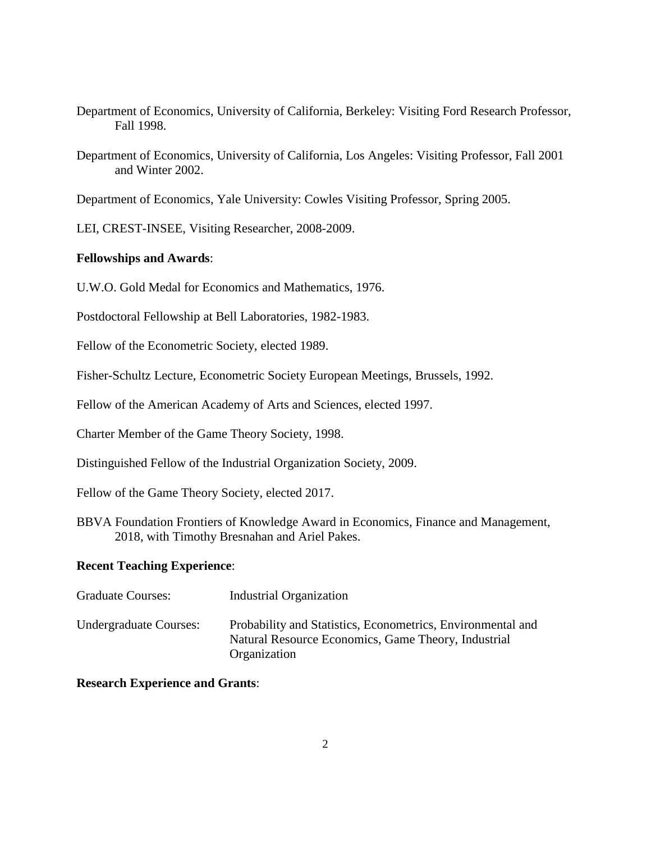- Department of Economics, University of California, Berkeley: Visiting Ford Research Professor, Fall 1998.
- Department of Economics, University of California, Los Angeles: Visiting Professor, Fall 2001 and Winter 2002.

Department of Economics, Yale University: Cowles Visiting Professor, Spring 2005.

LEI, CREST-INSEE, Visiting Researcher, 2008-2009.

## **Fellowships and Awards**:

U.W.O. Gold Medal for Economics and Mathematics, 1976.

Postdoctoral Fellowship at Bell Laboratories, 1982-1983.

Fellow of the Econometric Society, elected 1989.

Fisher-Schultz Lecture, Econometric Society European Meetings, Brussels, 1992.

Fellow of the American Academy of Arts and Sciences, elected 1997.

Charter Member of the Game Theory Society, 1998.

Distinguished Fellow of the Industrial Organization Society, 2009.

Fellow of the Game Theory Society, elected 2017.

BBVA Foundation Frontiers of Knowledge Award in Economics, Finance and Management, 2018, with Timothy Bresnahan and Ariel Pakes.

# **Recent Teaching Experience**:

| <b>Graduate Courses:</b>      | Industrial Organization                                                                                                            |
|-------------------------------|------------------------------------------------------------------------------------------------------------------------------------|
| <b>Undergraduate Courses:</b> | Probability and Statistics, Econometrics, Environmental and<br>Natural Resource Economics, Game Theory, Industrial<br>Organization |

# **Research Experience and Grants**: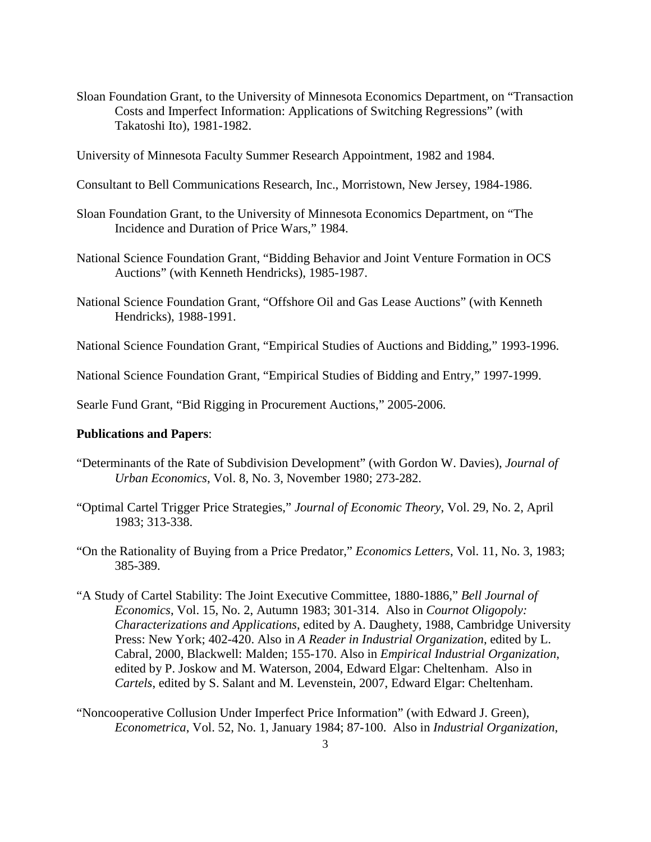- Sloan Foundation Grant, to the University of Minnesota Economics Department, on "Transaction Costs and Imperfect Information: Applications of Switching Regressions" (with Takatoshi Ito), 1981-1982.
- University of Minnesota Faculty Summer Research Appointment, 1982 and 1984.
- Consultant to Bell Communications Research, Inc., Morristown, New Jersey, 1984-1986.
- Sloan Foundation Grant, to the University of Minnesota Economics Department, on "The Incidence and Duration of Price Wars," 1984.
- National Science Foundation Grant, "Bidding Behavior and Joint Venture Formation in OCS Auctions" (with Kenneth Hendricks), 1985-1987.
- National Science Foundation Grant, "Offshore Oil and Gas Lease Auctions" (with Kenneth Hendricks), 1988-1991.
- National Science Foundation Grant, "Empirical Studies of Auctions and Bidding," 1993-1996.

National Science Foundation Grant, "Empirical Studies of Bidding and Entry," 1997-1999.

Searle Fund Grant, "Bid Rigging in Procurement Auctions," 2005-2006.

### **Publications and Papers**:

- "Determinants of the Rate of Subdivision Development" (with Gordon W. Davies), *Journal of Urban Economics*, Vol. 8, No. 3, November 1980; 273-282.
- "Optimal Cartel Trigger Price Strategies," *Journal of Economic Theory*, Vol. 29, No. 2, April 1983; 313-338.
- "On the Rationality of Buying from a Price Predator," *Economics Letters*, Vol. 11, No. 3, 1983; 385-389.
- "A Study of Cartel Stability: The Joint Executive Committee, 1880-1886," *Bell Journal of Economics*, Vol. 15, No. 2, Autumn 1983; 301-314. Also in *Cournot Oligopoly: Characterizations and Applications*, edited by A. Daughety, 1988, Cambridge University Press: New York; 402-420. Also in *A Reader in Industrial Organization*, edited by L. Cabral, 2000, Blackwell: Malden; 155-170. Also in *Empirical Industrial Organization*, edited by P. Joskow and M. Waterson, 2004, Edward Elgar: Cheltenham. Also in *Cartels*, edited by S. Salant and M. Levenstein, 2007, Edward Elgar: Cheltenham.
- "Noncooperative Collusion Under Imperfect Price Information" (with Edward J. Green), *Econometrica*, Vol. 52, No. 1, January 1984; 87-100. Also in *Industrial Organization*,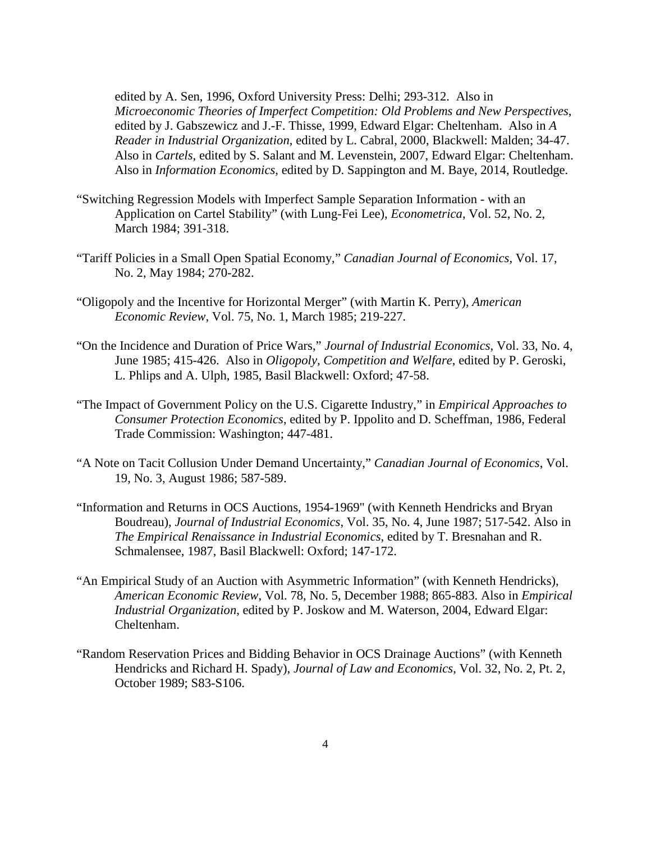edited by A. Sen, 1996, Oxford University Press: Delhi; 293-312. Also in *Microeconomic Theories of Imperfect Competition: Old Problems and New Perspectives*, edited by J. Gabszewicz and J.-F. Thisse, 1999, Edward Elgar: Cheltenham. Also in *A Reader in Industrial Organization*, edited by L. Cabral, 2000, Blackwell: Malden; 34-47. Also in *Cartels*, edited by S. Salant and M. Levenstein, 2007, Edward Elgar: Cheltenham. Also in *Information Economics*, edited by D. Sappington and M. Baye, 2014, Routledge.

- "Switching Regression Models with Imperfect Sample Separation Information with an Application on Cartel Stability" (with Lung-Fei Lee), *Econometrica*, Vol. 52, No. 2, March 1984; 391-318.
- "Tariff Policies in a Small Open Spatial Economy," *Canadian Journal of Economics*, Vol. 17, No. 2, May 1984; 270-282.
- "Oligopoly and the Incentive for Horizontal Merger" (with Martin K. Perry), *American Economic Review*, Vol. 75, No. 1, March 1985; 219-227.
- "On the Incidence and Duration of Price Wars," *Journal of Industrial Economics*, Vol. 33, No. 4, June 1985; 415-426. Also in *Oligopoly, Competition and Welfare*, edited by P. Geroski, L. Phlips and A. Ulph, 1985, Basil Blackwell: Oxford; 47-58.
- "The Impact of Government Policy on the U.S. Cigarette Industry," in *Empirical Approaches to Consumer Protection Economics*, edited by P. Ippolito and D. Scheffman, 1986, Federal Trade Commission: Washington; 447-481.
- "A Note on Tacit Collusion Under Demand Uncertainty," *Canadian Journal of Economics*, Vol. 19, No. 3, August 1986; 587-589.
- "Information and Returns in OCS Auctions, 1954-1969" (with Kenneth Hendricks and Bryan Boudreau), *Journal of Industrial Economics*, Vol. 35, No. 4, June 1987; 517-542. Also in *The Empirical Renaissance in Industrial Economics*, edited by T. Bresnahan and R. Schmalensee, 1987, Basil Blackwell: Oxford; 147-172.
- "An Empirical Study of an Auction with Asymmetric Information" (with Kenneth Hendricks), *American Economic Review*, Vol. 78, No. 5, December 1988; 865-883. Also in *Empirical Industrial Organization*, edited by P. Joskow and M. Waterson, 2004, Edward Elgar: Cheltenham.
- "Random Reservation Prices and Bidding Behavior in OCS Drainage Auctions" (with Kenneth Hendricks and Richard H. Spady), *Journal of Law and Economics*, Vol. 32, No. 2, Pt. 2, October 1989; S83-S106.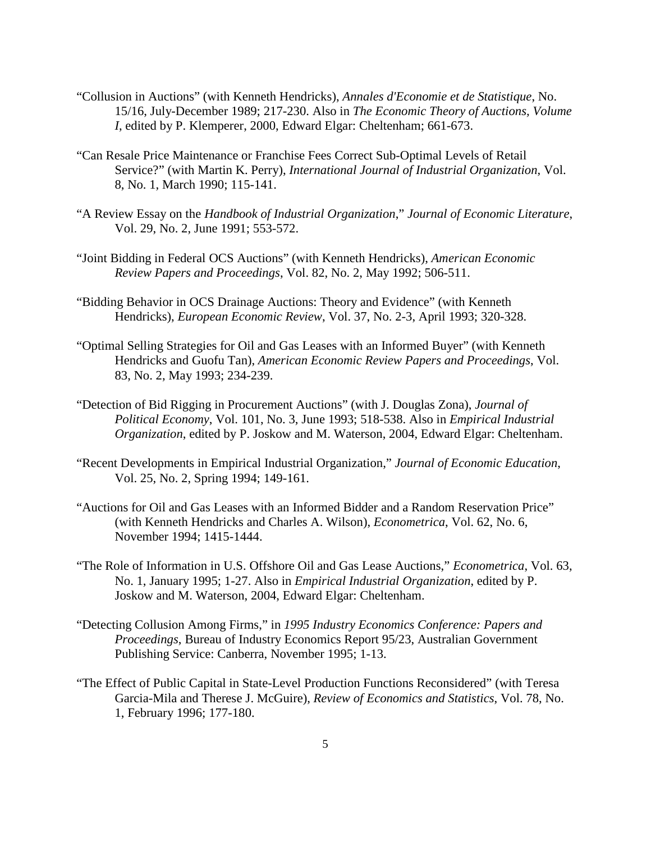- "Collusion in Auctions" (with Kenneth Hendricks), *Annales d'Economie et de Statistique*, No. 15/16, July-December 1989; 217-230. Also in *The Economic Theory of Auctions, Volume I*, edited by P. Klemperer, 2000, Edward Elgar: Cheltenham; 661-673.
- "Can Resale Price Maintenance or Franchise Fees Correct Sub-Optimal Levels of Retail Service?" (with Martin K. Perry), *International Journal of Industrial Organization*, Vol. 8, No. 1, March 1990; 115-141.
- "A Review Essay on the *Handbook of Industrial Organization*," *Journal of Economic Literature*, Vol. 29, No. 2, June 1991; 553-572.
- "Joint Bidding in Federal OCS Auctions" (with Kenneth Hendricks), *American Economic Review Papers and Proceedings*, Vol. 82, No. 2, May 1992; 506-511.
- "Bidding Behavior in OCS Drainage Auctions: Theory and Evidence" (with Kenneth Hendricks), *European Economic Review*, Vol. 37, No. 2-3, April 1993; 320-328.
- "Optimal Selling Strategies for Oil and Gas Leases with an Informed Buyer" (with Kenneth Hendricks and Guofu Tan), *American Economic Review Papers and Proceedings*, Vol. 83, No. 2, May 1993; 234-239.
- "Detection of Bid Rigging in Procurement Auctions" (with J. Douglas Zona), *Journal of Political Economy*, Vol. 101, No. 3, June 1993; 518-538. Also in *Empirical Industrial Organization*, edited by P. Joskow and M. Waterson, 2004, Edward Elgar: Cheltenham.
- "Recent Developments in Empirical Industrial Organization," *Journal of Economic Education*, Vol. 25, No. 2, Spring 1994; 149-161.
- "Auctions for Oil and Gas Leases with an Informed Bidder and a Random Reservation Price" (with Kenneth Hendricks and Charles A. Wilson), *Econometrica*, Vol. 62, No. 6, November 1994; 1415-1444.
- "The Role of Information in U.S. Offshore Oil and Gas Lease Auctions," *Econometrica*, Vol. 63, No. 1, January 1995; 1-27. Also in *Empirical Industrial Organization*, edited by P. Joskow and M. Waterson, 2004, Edward Elgar: Cheltenham.
- "Detecting Collusion Among Firms," in *1995 Industry Economics Conference: Papers and Proceedings*, Bureau of Industry Economics Report 95/23, Australian Government Publishing Service: Canberra, November 1995; 1-13.
- "The Effect of Public Capital in State-Level Production Functions Reconsidered" (with Teresa Garcia-Mila and Therese J. McGuire), *Review of Economics and Statistics*, Vol. 78, No. 1, February 1996; 177-180.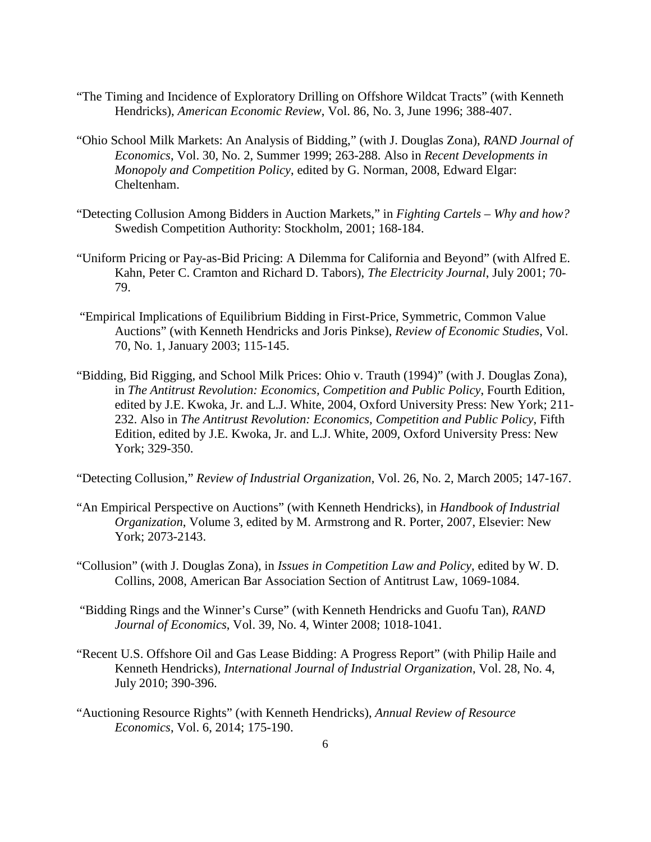- "The Timing and Incidence of Exploratory Drilling on Offshore Wildcat Tracts" (with Kenneth Hendricks), *American Economic Review*, Vol. 86, No. 3, June 1996; 388-407.
- "Ohio School Milk Markets: An Analysis of Bidding," (with J. Douglas Zona), *RAND Journal of Economics*, Vol. 30, No. 2, Summer 1999; 263-288. Also in *Recent Developments in Monopoly and Competition Policy*, edited by G. Norman, 2008, Edward Elgar: Cheltenham.
- "Detecting Collusion Among Bidders in Auction Markets," in *Fighting Cartels – Why and how?* Swedish Competition Authority: Stockholm, 2001; 168-184.
- "Uniform Pricing or Pay-as-Bid Pricing: A Dilemma for California and Beyond" (with Alfred E. Kahn, Peter C. Cramton and Richard D. Tabors), *The Electricity Journal*, July 2001; 70- 79.
- "Empirical Implications of Equilibrium Bidding in First-Price, Symmetric, Common Value Auctions" (with Kenneth Hendricks and Joris Pinkse), *Review of Economic Studies*, Vol. 70, No. 1, January 2003; 115-145.
- "Bidding, Bid Rigging, and School Milk Prices: Ohio v. Trauth (1994)" (with J. Douglas Zona), in *The Antitrust Revolution: Economics, Competition and Public Policy*, Fourth Edition, edited by J.E. Kwoka, Jr. and L.J. White, 2004, Oxford University Press: New York; 211- 232. Also in *The Antitrust Revolution: Economics, Competition and Public Policy*, Fifth Edition, edited by J.E. Kwoka, Jr. and L.J. White, 2009, Oxford University Press: New York; 329-350.
- "Detecting Collusion," *Review of Industrial Organization*, Vol. 26, No. 2, March 2005; 147-167.
- "An Empirical Perspective on Auctions" (with Kenneth Hendricks), in *Handbook of Industrial Organization*, Volume 3, edited by M. Armstrong and R. Porter, 2007, Elsevier: New York; 2073-2143.
- "Collusion" (with J. Douglas Zona), in *Issues in Competition Law and Policy*, edited by W. D. Collins, 2008, American Bar Association Section of Antitrust Law, 1069-1084.
- "Bidding Rings and the Winner's Curse" (with Kenneth Hendricks and Guofu Tan), *RAND Journal of Economics*, Vol. 39, No. 4, Winter 2008; 1018-1041.
- "Recent U.S. Offshore Oil and Gas Lease Bidding: A Progress Report" (with Philip Haile and Kenneth Hendricks), *International Journal of Industrial Organization*, Vol. 28, No. 4, July 2010; 390-396.
- "Auctioning Resource Rights" (with Kenneth Hendricks), *Annual Review of Resource Economics*, Vol. 6, 2014; 175-190.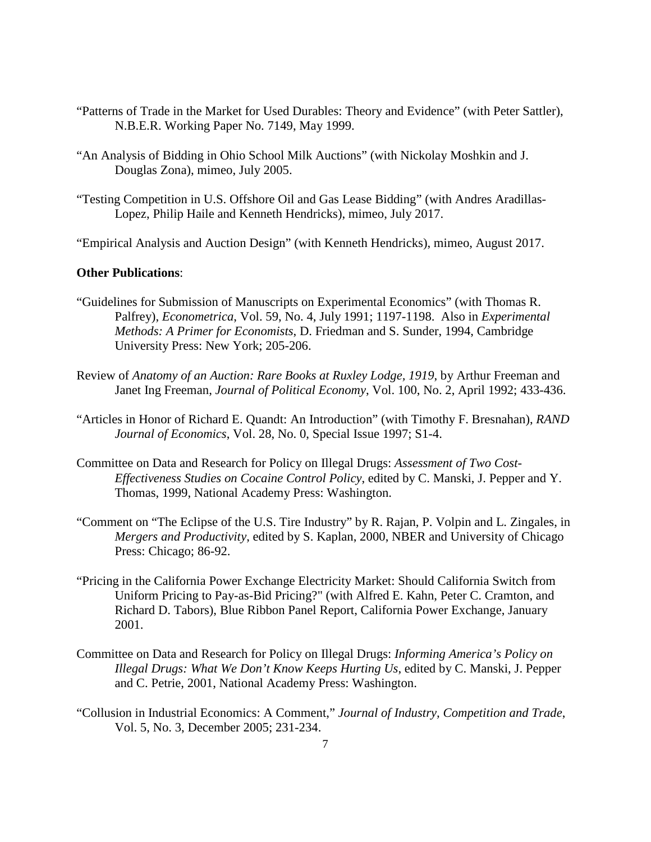- "Patterns of Trade in the Market for Used Durables: Theory and Evidence" (with Peter Sattler), N.B.E.R. Working Paper No. 7149, May 1999.
- "An Analysis of Bidding in Ohio School Milk Auctions" (with Nickolay Moshkin and J. Douglas Zona), mimeo, July 2005.
- "Testing Competition in U.S. Offshore Oil and Gas Lease Bidding" (with Andres Aradillas-Lopez, Philip Haile and Kenneth Hendricks), mimeo, July 2017.
- "Empirical Analysis and Auction Design" (with Kenneth Hendricks), mimeo, August 2017.

## **Other Publications**:

- "Guidelines for Submission of Manuscripts on Experimental Economics" (with Thomas R. Palfrey), *Econometrica*, Vol. 59, No. 4, July 1991; 1197-1198. Also in *Experimental Methods: A Primer for Economists*, D. Friedman and S. Sunder, 1994, Cambridge University Press: New York; 205-206.
- Review of *Anatomy of an Auction: Rare Books at Ruxley Lodge, 1919*, by Arthur Freeman and Janet Ing Freeman, *Journal of Political Economy*, Vol. 100, No. 2, April 1992; 433-436.
- "Articles in Honor of Richard E. Quandt: An Introduction" (with Timothy F. Bresnahan), *RAND Journal of Economics*, Vol. 28, No. 0, Special Issue 1997; S1-4.
- Committee on Data and Research for Policy on Illegal Drugs: *Assessment of Two Cost-Effectiveness Studies on Cocaine Control Policy*, edited by C. Manski, J. Pepper and Y. Thomas, 1999, National Academy Press: Washington.
- "Comment on "The Eclipse of the U.S. Tire Industry" by R. Rajan, P. Volpin and L. Zingales, in *Mergers and Productivity*, edited by S. Kaplan, 2000, NBER and University of Chicago Press: Chicago; 86-92.
- "Pricing in the California Power Exchange Electricity Market: Should California Switch from Uniform Pricing to Pay-as-Bid Pricing?" (with Alfred E. Kahn, Peter C. Cramton, and Richard D. Tabors), Blue Ribbon Panel Report, California Power Exchange, January 2001.
- Committee on Data and Research for Policy on Illegal Drugs: *Informing America's Policy on Illegal Drugs: What We Don't Know Keeps Hurting Us*, edited by C. Manski, J. Pepper and C. Petrie, 2001, National Academy Press: Washington.
- "Collusion in Industrial Economics: A Comment," *Journal of Industry, Competition and Trade*, Vol. 5, No. 3, December 2005; 231-234.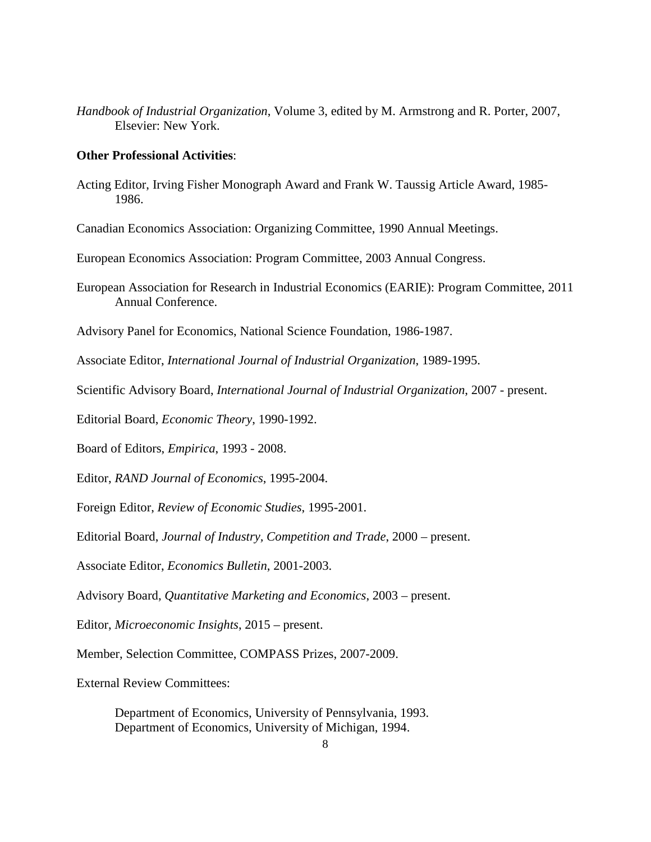*Handbook of Industrial Organization*, Volume 3, edited by M. Armstrong and R. Porter, 2007, Elsevier: New York.

## **Other Professional Activities**:

Acting Editor, Irving Fisher Monograph Award and Frank W. Taussig Article Award, 1985- 1986.

Canadian Economics Association: Organizing Committee, 1990 Annual Meetings.

European Economics Association: Program Committee, 2003 Annual Congress.

European Association for Research in Industrial Economics (EARIE): Program Committee, 2011 Annual Conference.

Advisory Panel for Economics, National Science Foundation, 1986-1987.

Associate Editor, *International Journal of Industrial Organization*, 1989-1995.

Scientific Advisory Board, *International Journal of Industrial Organization*, 2007 - present.

Editorial Board, *Economic Theory*, 1990-1992.

Board of Editors, *Empirica*, 1993 - 2008.

Editor, *RAND Journal of Economics*, 1995-2004.

Foreign Editor, *Review of Economic Studies*, 1995-2001.

Editorial Board, *Journal of Industry, Competition and Trade*, 2000 – present.

Associate Editor, *Economics Bulletin*, 2001-2003.

Advisory Board, *Quantitative Marketing and Economics*, 2003 – present.

Editor, *Microeconomic Insights*, 2015 – present.

Member, Selection Committee, COMPASS Prizes, 2007-2009.

External Review Committees:

Department of Economics, University of Pennsylvania, 1993. Department of Economics, University of Michigan, 1994.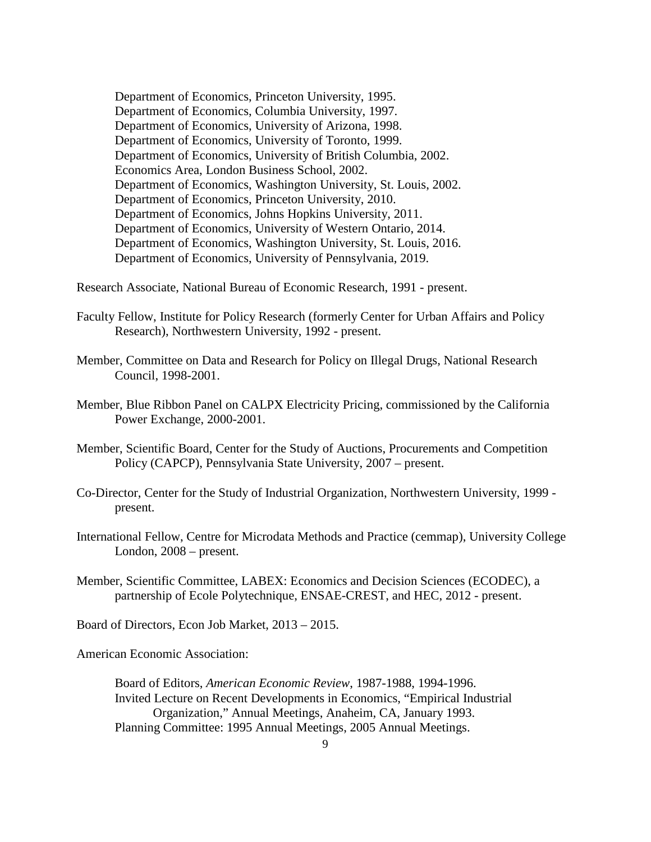Department of Economics, Princeton University, 1995. Department of Economics, Columbia University, 1997. Department of Economics, University of Arizona, 1998. Department of Economics, University of Toronto, 1999. Department of Economics, University of British Columbia, 2002. Economics Area, London Business School, 2002. Department of Economics, Washington University, St. Louis, 2002. Department of Economics, Princeton University, 2010. Department of Economics, Johns Hopkins University, 2011. Department of Economics, University of Western Ontario, 2014. Department of Economics, Washington University, St. Louis, 2016. Department of Economics, University of Pennsylvania, 2019.

Research Associate, National Bureau of Economic Research, 1991 - present.

- Faculty Fellow, Institute for Policy Research (formerly Center for Urban Affairs and Policy Research), Northwestern University, 1992 - present.
- Member, Committee on Data and Research for Policy on Illegal Drugs, National Research Council, 1998-2001.
- Member, Blue Ribbon Panel on CALPX Electricity Pricing, commissioned by the California Power Exchange, 2000-2001.
- Member, Scientific Board, Center for the Study of Auctions, Procurements and Competition Policy (CAPCP), Pennsylvania State University, 2007 – present.
- Co-Director, Center for the Study of Industrial Organization, Northwestern University, 1999 present.
- International Fellow, Centre for Microdata Methods and Practice (cemmap), University College London, 2008 – present.
- Member, Scientific Committee, LABEX: Economics and Decision Sciences (ECODEC), a partnership of Ecole Polytechnique, ENSAE-CREST, and HEC, 2012 - present.

Board of Directors, Econ Job Market, 2013 – 2015.

American Economic Association:

Board of Editors, *American Economic Review*, 1987-1988, 1994-1996. Invited Lecture on Recent Developments in Economics, "Empirical Industrial Organization," Annual Meetings, Anaheim, CA, January 1993. Planning Committee: 1995 Annual Meetings, 2005 Annual Meetings.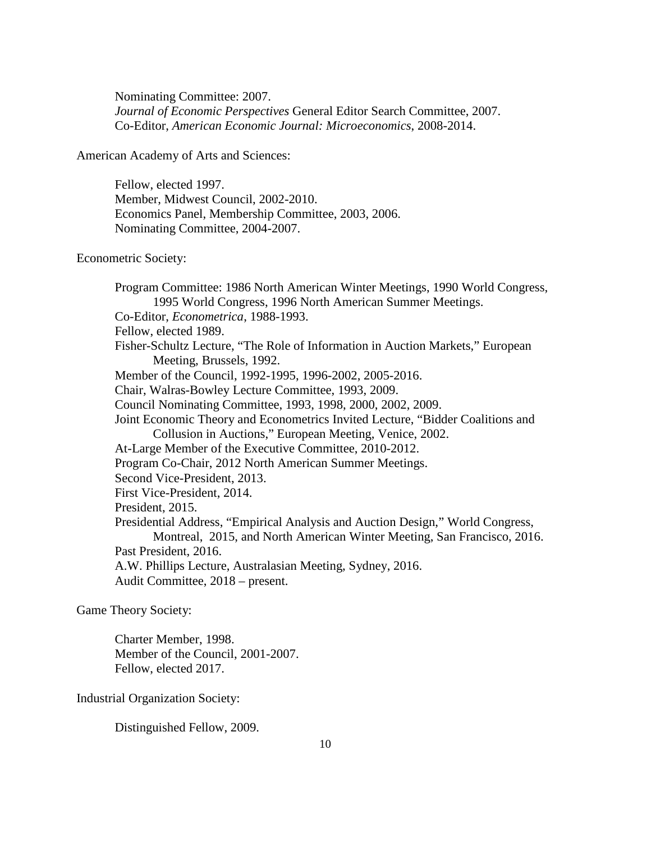Nominating Committee: 2007. *Journal of Economic Perspectives* General Editor Search Committee, 2007. Co-Editor, *American Economic Journal: Microeconomics*, 2008-2014.

American Academy of Arts and Sciences:

Fellow, elected 1997. Member, Midwest Council, 2002-2010. Economics Panel, Membership Committee, 2003, 2006. Nominating Committee, 2004-2007.

Econometric Society:

Program Committee: 1986 North American Winter Meetings, 1990 World Congress, 1995 World Congress, 1996 North American Summer Meetings. Co-Editor, *Econometrica*, 1988-1993. Fellow, elected 1989. Fisher-Schultz Lecture, "The Role of Information in Auction Markets," European Meeting, Brussels, 1992. Member of the Council, 1992-1995, 1996-2002, 2005-2016. Chair, Walras-Bowley Lecture Committee, 1993, 2009. Council Nominating Committee, 1993, 1998, 2000, 2002, 2009. Joint Economic Theory and Econometrics Invited Lecture, "Bidder Coalitions and Collusion in Auctions," European Meeting, Venice, 2002. At-Large Member of the Executive Committee, 2010-2012. Program Co-Chair, 2012 North American Summer Meetings. Second Vice-President, 2013. First Vice-President, 2014. President, 2015. Presidential Address, "Empirical Analysis and Auction Design," World Congress, Montreal, 2015, and North American Winter Meeting, San Francisco, 2016. Past President, 2016. A.W. Phillips Lecture, Australasian Meeting, Sydney, 2016. Audit Committee, 2018 – present.

Game Theory Society:

Charter Member, 1998. Member of the Council, 2001-2007. Fellow, elected 2017.

Industrial Organization Society:

Distinguished Fellow, 2009.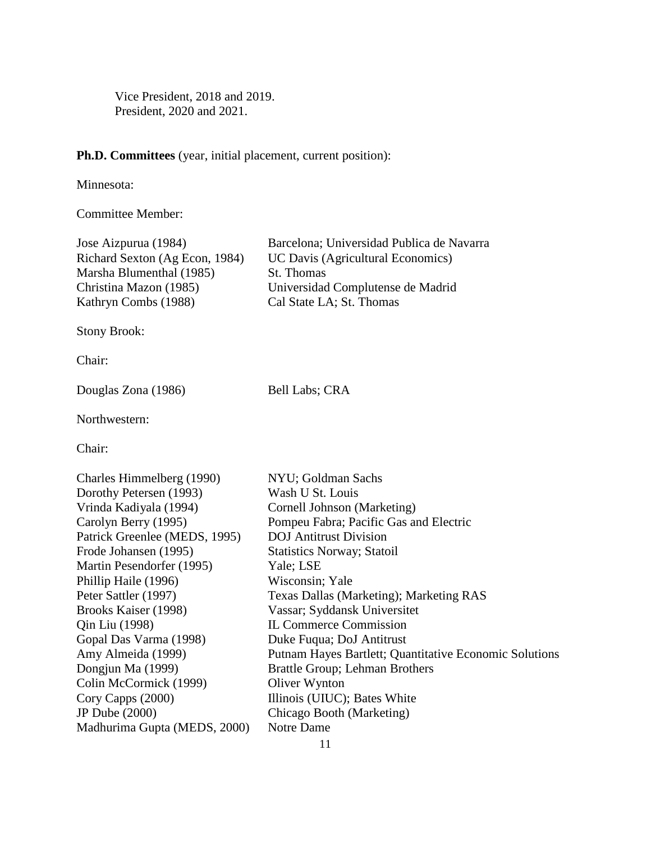Vice President, 2018 and 2019. President, 2020 and 2021.

# **Ph.D. Committees** (year, initial placement, current position):

Minnesota:

Committee Member:

| Jose Aizpurua (1984)<br>Richard Sexton (Ag Econ, 1984)<br>Marsha Blumenthal (1985)<br>Christina Mazon (1985)<br>Kathryn Combs (1988) | Barcelona; Universidad Publica de Navarra<br><b>UC Davis (Agricultural Economics)</b><br>St. Thomas<br>Universidad Complutense de Madrid<br>Cal State LA; St. Thomas |
|--------------------------------------------------------------------------------------------------------------------------------------|----------------------------------------------------------------------------------------------------------------------------------------------------------------------|
| <b>Stony Brook:</b>                                                                                                                  |                                                                                                                                                                      |
| Chair:                                                                                                                               |                                                                                                                                                                      |
| Douglas Zona (1986)                                                                                                                  | <b>Bell Labs; CRA</b>                                                                                                                                                |
| Northwestern:                                                                                                                        |                                                                                                                                                                      |
| Chair:                                                                                                                               |                                                                                                                                                                      |
| Charles Himmelberg (1990)                                                                                                            | NYU; Goldman Sachs                                                                                                                                                   |
| Dorothy Petersen (1993)                                                                                                              | Wash U St. Louis                                                                                                                                                     |
| Vrinda Kadiyala (1994)                                                                                                               | Cornell Johnson (Marketing)                                                                                                                                          |
| Carolyn Berry (1995)                                                                                                                 | Pompeu Fabra; Pacific Gas and Electric                                                                                                                               |
| Patrick Greenlee (MEDS, 1995)                                                                                                        | <b>DOJ</b> Antitrust Division                                                                                                                                        |
| Frode Johansen (1995)                                                                                                                | <b>Statistics Norway; Statoil</b>                                                                                                                                    |
| Martin Pesendorfer (1995)                                                                                                            | Yale; LSE                                                                                                                                                            |
| Phillip Haile (1996)                                                                                                                 | Wisconsin; Yale                                                                                                                                                      |
| Peter Sattler (1997)                                                                                                                 | Texas Dallas (Marketing); Marketing RAS                                                                                                                              |
| Brooks Kaiser (1998)                                                                                                                 | Vassar; Syddansk Universitet                                                                                                                                         |
| Qin Liu (1998)                                                                                                                       | <b>IL Commerce Commission</b>                                                                                                                                        |
| Gopal Das Varma (1998)                                                                                                               | Duke Fuqua; DoJ Antitrust                                                                                                                                            |
| Amy Almeida (1999)                                                                                                                   | Putnam Hayes Bartlett; Quantitative Economic Solutions                                                                                                               |
| Dongjun Ma (1999)                                                                                                                    | Brattle Group; Lehman Brothers                                                                                                                                       |
| Colin McCormick (1999)                                                                                                               | Oliver Wynton                                                                                                                                                        |
| Cory Capps (2000)                                                                                                                    | Illinois (UIUC); Bates White                                                                                                                                         |
| JP Dube (2000)                                                                                                                       | Chicago Booth (Marketing)                                                                                                                                            |
| Madhurima Gupta (MEDS, 2000)                                                                                                         | Notre Dame                                                                                                                                                           |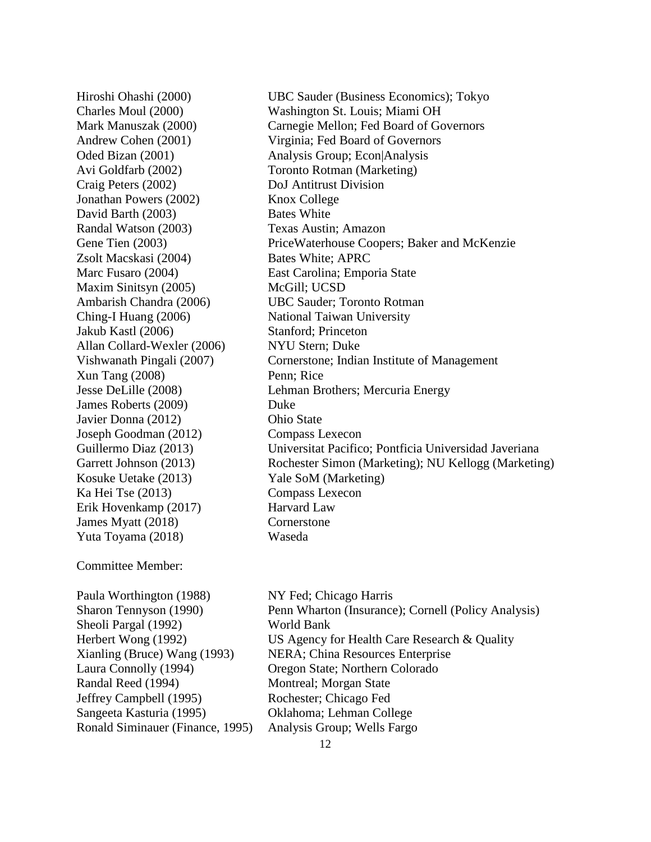Craig Peters (2002) DoJ Antitrust Division Jonathan Powers (2002) Knox College David Barth (2003) Bates White Randal Watson (2003) Texas Austin; Amazon Zsolt Macskasi (2004) Bates White; APRC Maxim Sinitsyn (2005) McGill; UCSD Ching-I Huang (2006) National Taiwan University Jakub Kastl (2006) Stanford; Princeton Allan Collard-Wexler (2006) NYU Stern; Duke Xun Tang (2008) Penn; Rice James Roberts (2009) Duke Javier Donna (2012) Ohio State Joseph Goodman (2012) Compass Lexecon Kosuke Uetake (2013) Yale SoM (Marketing) Ka Hei Tse (2013) Compass Lexecon Erik Hovenkamp (2017) Harvard Law James Myatt (2018) Cornerstone Yuta Toyama (2018) Waseda

## Committee Member:

Paula Worthington (1988) NY Fed; Chicago Harris Sheoli Pargal (1992) World Bank Randal Reed (1994) Montreal; Morgan State Jeffrey Campbell (1995) Rochester; Chicago Fed Sangeeta Kasturia (1995) Oklahoma; Lehman College Ronald Siminauer (Finance, 1995) Analysis Group; Wells Fargo

Hiroshi Ohashi (2000) UBC Sauder (Business Economics); Tokyo Charles Moul (2000) Washington St. Louis; Miami OH Mark Manuszak (2000) Carnegie Mellon; Fed Board of Governors Andrew Cohen (2001) Virginia; Fed Board of Governors Oded Bizan (2001) Analysis Group; Econ|Analysis Avi Goldfarb (2002) Toronto Rotman (Marketing) Gene Tien (2003) PriceWaterhouse Coopers; Baker and McKenzie Marc Fusaro (2004) East Carolina; Emporia State Ambarish Chandra (2006) UBC Sauder; Toronto Rotman Vishwanath Pingali (2007) Cornerstone; Indian Institute of Management Jesse DeLille (2008) Lehman Brothers; Mercuria Energy Guillermo Diaz (2013) Universitat Pacifico; Pontficia Universidad Javeriana Garrett Johnson (2013) Rochester Simon (Marketing); NU Kellogg (Marketing)

Sharon Tennyson (1990) Penn Wharton (Insurance); Cornell (Policy Analysis) Herbert Wong (1992) US Agency for Health Care Research & Quality Xianling (Bruce) Wang (1993) NERA; China Resources Enterprise Laura Connolly (1994) Oregon State; Northern Colorado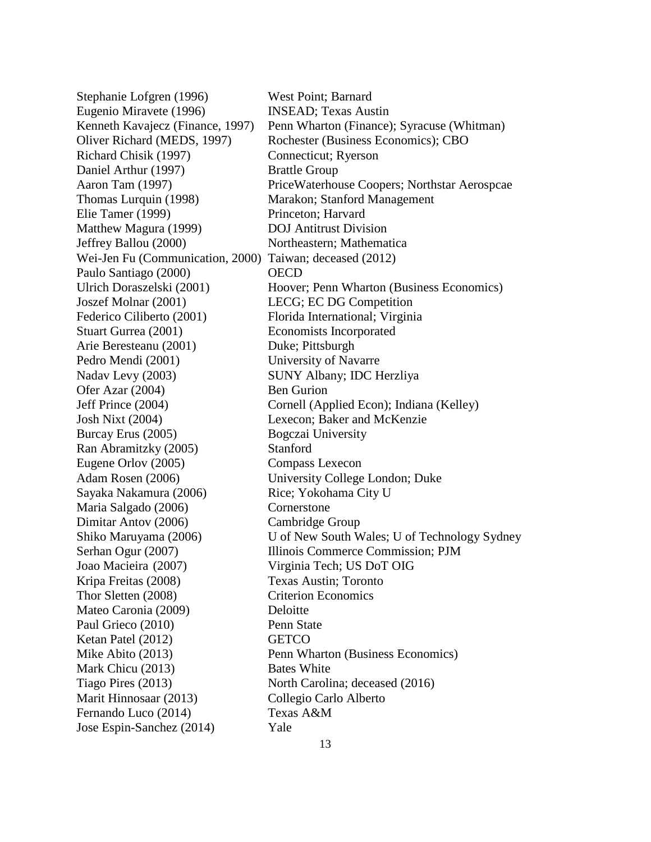Stephanie Lofgren (1996) West Point; Barnard Eugenio Miravete (1996) INSEAD; Texas Austin Kenneth Kavajecz (Finance, 1997) Penn Wharton (Finance); Syracuse (Whitman) Oliver Richard (MEDS, 1997) Rochester (Business Economics); CBO Richard Chisik (1997) Connecticut; Ryerson Daniel Arthur (1997) Brattle Group Aaron Tam (1997) PriceWaterhouse Coopers; Northstar Aerospcae Thomas Lurquin (1998) Marakon; Stanford Management Elie Tamer (1999) Princeton; Harvard Matthew Magura (1999) DOJ Antitrust Division Jeffrey Ballou (2000) Northeastern; Mathematica Wei-Jen Fu (Communication, 2000) Taiwan; deceased (2012) Paulo Santiago (2000) OECD Ulrich Doraszelski (2001) Hoover; Penn Wharton (Business Economics) Joszef Molnar (2001) LECG; EC DG Competition Federico Ciliberto (2001) Florida International; Virginia Stuart Gurrea (2001) Economists Incorporated Arie Beresteanu (2001) Duke; Pittsburgh Pedro Mendi (2001) University of Navarre Nadav Levy (2003) SUNY Albany; IDC Herzliya Ofer Azar (2004) Ben Gurion Jeff Prince (2004) Cornell (Applied Econ); Indiana (Kelley) Josh Nixt (2004) Lexecon; Baker and McKenzie Burcay Erus (2005) Bogczai University Ran Abramitzky (2005) Stanford Eugene Orlov (2005) Compass Lexecon Adam Rosen (2006) University College London; Duke Sayaka Nakamura (2006) Rice; Yokohama City U Maria Salgado (2006) Cornerstone Dimitar Antov (2006) Cambridge Group Shiko Maruyama (2006) U of New South Wales; U of Technology Sydney Serhan Ogur (2007) Illinois Commerce Commission; PJM Joao Macieira (2007) Virginia Tech; US DoT OIG Kripa Freitas (2008) Texas Austin; Toronto Thor Sletten (2008) Criterion Economics Mateo Caronia (2009) Deloitte Paul Grieco (2010) Penn State Ketan Patel (2012) GETCO Mike Abito (2013) Penn Wharton (Business Economics) Mark Chicu (2013) Bates White Tiago Pires (2013) North Carolina; deceased (2016) Marit Hinnosaar (2013) Collegio Carlo Alberto Fernando Luco (2014) Texas A&M Jose Espin-Sanchez (2014) Yale